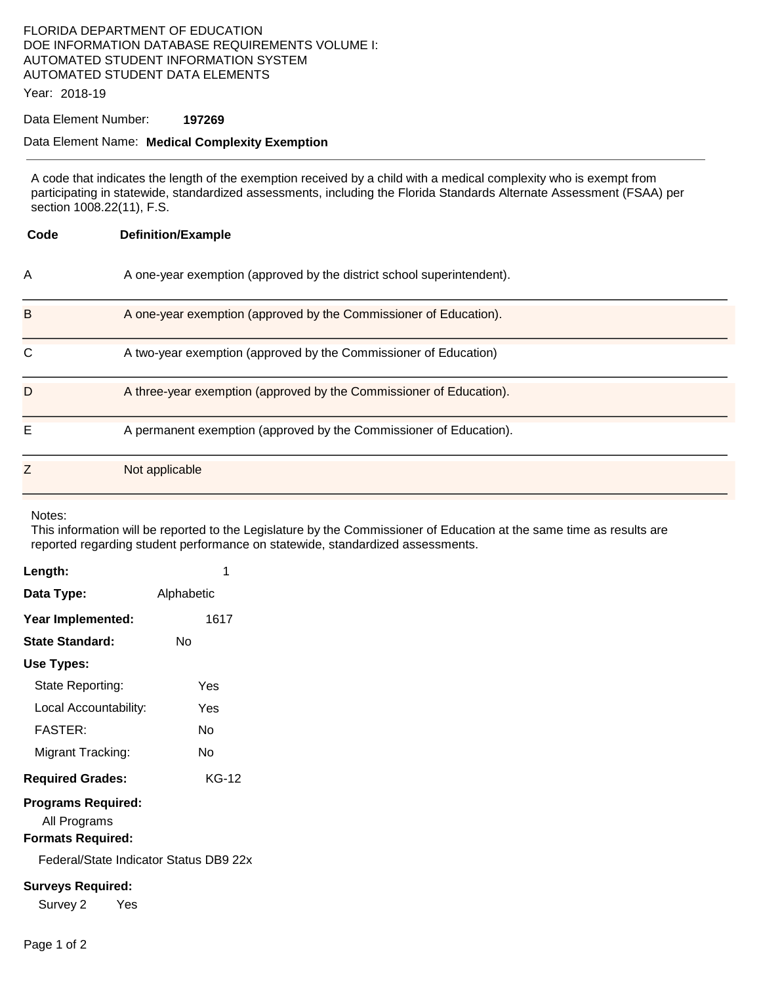# FLORIDA DEPARTMENT OF EDUCATION DOE INFORMATION DATABASE REQUIREMENTS VOLUME I: AUTOMATED STUDENT INFORMATION SYSTEM AUTOMATED STUDENT DATA ELEMENTS

Year: 2018-19

#### Data Element Number: **197269**

#### Data Element Name: **Medical Complexity Exemption**

A code that indicates the length of the exemption received by a child with a medical complexity who is exempt from participating in statewide, standardized assessments, including the Florida Standards Alternate Assessment (FSAA) per section 1008.22(11), F.S.

| Code | <b>Definition/Example</b>                                              |
|------|------------------------------------------------------------------------|
| Α    | A one-year exemption (approved by the district school superintendent). |
| B    | A one-year exemption (approved by the Commissioner of Education).      |
| C    | A two-year exemption (approved by the Commissioner of Education)       |
| D    | A three-year exemption (approved by the Commissioner of Education).    |
| Ε    | A permanent exemption (approved by the Commissioner of Education).     |
| Ζ    | Not applicable                                                         |

Notes:

This information will be reported to the Legislature by the Commissioner of Education at the same time as results are reported regarding student performance on statewide, standardized assessments.

| Length:                                                                                                         | 1          |  |  |
|-----------------------------------------------------------------------------------------------------------------|------------|--|--|
| Data Type:                                                                                                      | Alphabetic |  |  |
| Year Implemented:                                                                                               | 1617       |  |  |
| State Standard:                                                                                                 | Nο         |  |  |
| Use Types:                                                                                                      |            |  |  |
| State Reporting:                                                                                                | Yes        |  |  |
| Local Accountability:                                                                                           | Yes        |  |  |
| <b>FASTER:</b>                                                                                                  | N٥         |  |  |
| Migrant Tracking:                                                                                               | N٥         |  |  |
| <b>Required Grades:</b>                                                                                         | KG-12      |  |  |
| <b>Programs Required:</b><br>All Programs<br><b>Formats Required:</b><br>Federal/State Indicator Status DB9 22x |            |  |  |
| <b>Surveys Required:</b><br>Survey 2<br>Yes                                                                     |            |  |  |